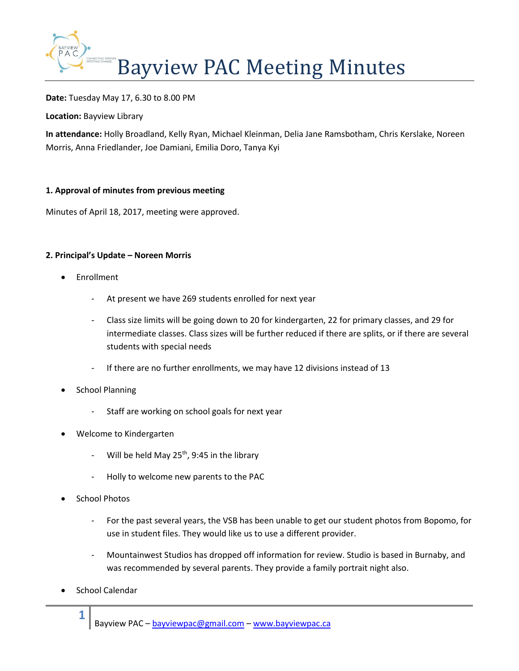

**Date:** Tuesday May 17, 6.30 to 8.00 PM

**Location:** Bayview Library

**In attendance:** Holly Broadland, Kelly Ryan, Michael Kleinman, Delia Jane Ramsbotham, Chris Kerslake, Noreen Morris, Anna Friedlander, Joe Damiani, Emilia Doro, Tanya Kyi

# **1. Approval of minutes from previous meeting**

Minutes of April 18, 2017, meeting were approved.

# **2. Principal's Update – Noreen Morris**

- Enrollment
	- At present we have 269 students enrolled for next year
	- Class size limits will be going down to 20 for kindergarten, 22 for primary classes, and 29 for intermediate classes. Class sizes will be further reduced if there are splits, or if there are several students with special needs
	- If there are no further enrollments, we may have 12 divisions instead of 13
- School Planning
	- Staff are working on school goals for next year
- Welcome to Kindergarten
	- Will be held May  $25^{th}$ , 9:45 in the library
	- Holly to welcome new parents to the PAC
- School Photos
	- For the past several years, the VSB has been unable to get our student photos from Bopomo, for use in student files. They would like us to use a different provider.
	- Mountainwest Studios has dropped off information for review. Studio is based in Burnaby, and was recommended by several parents. They provide a family portrait night also.
- School Calendar

**1**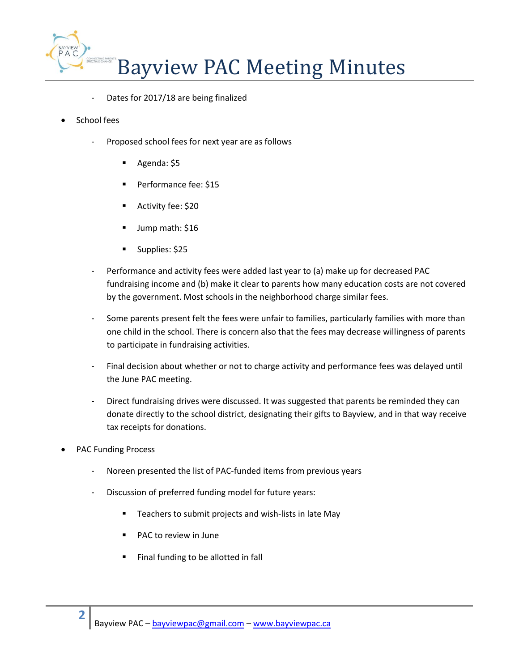

- Dates for 2017/18 are being finalized
- School fees
	- Proposed school fees for next year are as follows
		- Agenda: \$5
		- Performance fee: \$15
		- Activity fee: \$20
		- Jump math: \$16
		- Supplies: \$25
	- Performance and activity fees were added last year to (a) make up for decreased PAC fundraising income and (b) make it clear to parents how many education costs are not covered by the government. Most schools in the neighborhood charge similar fees.
	- Some parents present felt the fees were unfair to families, particularly families with more than one child in the school. There is concern also that the fees may decrease willingness of parents to participate in fundraising activities.
	- Final decision about whether or not to charge activity and performance fees was delayed until the June PAC meeting.
	- Direct fundraising drives were discussed. It was suggested that parents be reminded they can donate directly to the school district, designating their gifts to Bayview, and in that way receive tax receipts for donations.
- PAC Funding Process
	- Noreen presented the list of PAC-funded items from previous years
	- Discussion of preferred funding model for future years:
		- Teachers to submit projects and wish-lists in late May
		- PAC to review in June
		- Final funding to be allotted in fall